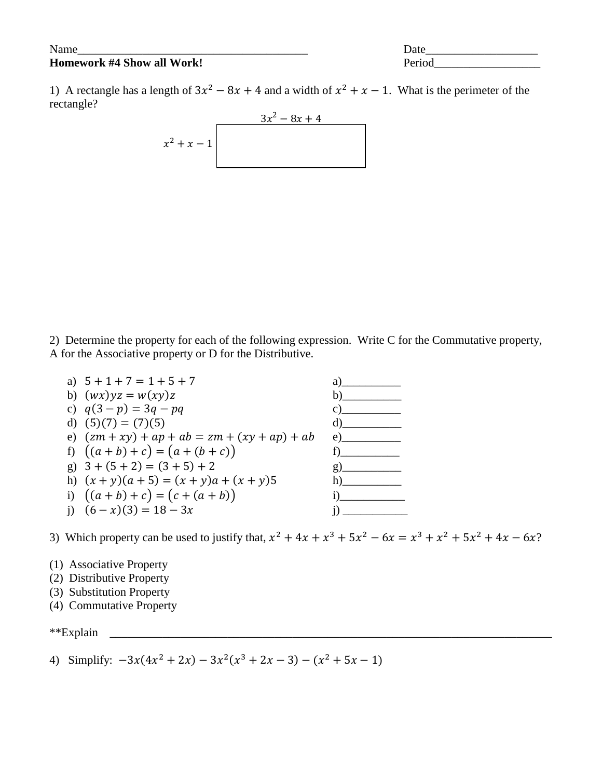## **Homework #4 Show all Work!** Period

Name Date Development of the set of  $\Gamma$ 

1) A rectangle has a length of  $3x^2 - 8x + 4$  and a width of  $x^2 + x - 1$ . What is the perimeter of the rectangle?

$$
\begin{array}{c|c}\n & 3x^2 - 8x + 4 \\
x^2 + x - 1\n\end{array}
$$

2) Determine the property for each of the following expression. Write C for the Commutative property, A for the Associative property or D for the Distributive.

| a) $5 + 1 + 7 = 1 + 5 + 7$                     | a)                              |
|------------------------------------------------|---------------------------------|
| b) $(wx)yz = w(xy)z$                           | $\mathbf b$                     |
| c) $q(3-p) = 3q - pq$                          | $\mathbf{C}$ ) and $\mathbf{C}$ |
| d) $(5)(7) = (7)(5)$                           | $\mathbf d$                     |
| e) $(zm + xy) + ap + ab = zm + (xy + ap) + ab$ | e)                              |
| f) $((a + b) + c) = (a + (b + c))$             |                                 |
| g) $3 + (5 + 2) = (3 + 5) + 2$                 | $g)$ and $g$                    |
| h) $(x + y)(a + 5) = (x + y)a + (x + y)5$      | $\mathbf{h}$ )                  |
| i) $((a + b) + c) = (c + (a + b))$             | 1)                              |
| i) $(6-x)(3) = 18 - 3x$                        |                                 |
|                                                |                                 |

3) Which property can be used to justify that,  $x^2 + 4x + x^3 + 5x^2 - 6x = x^3 + x^2 + 5x^2 + 4x - 6x$ ?

- (1) Associative Property
- (2) Distributive Property
- (3) Substitution Property
- (4) Commutative Property
- \*\*Explain \_\_\_\_\_\_\_\_\_\_\_\_\_\_\_\_\_\_\_\_\_\_\_\_\_\_\_\_\_\_\_\_\_\_\_\_\_\_\_\_\_\_\_\_\_\_\_\_\_\_\_\_\_\_\_\_\_\_\_\_\_\_\_\_\_\_\_\_\_\_\_\_\_\_\_
- 4) Simplify:  $-3x(4x^2 + 2x) 3x^2(x^3 + 2x 3) (x^2 + 5x 1)$